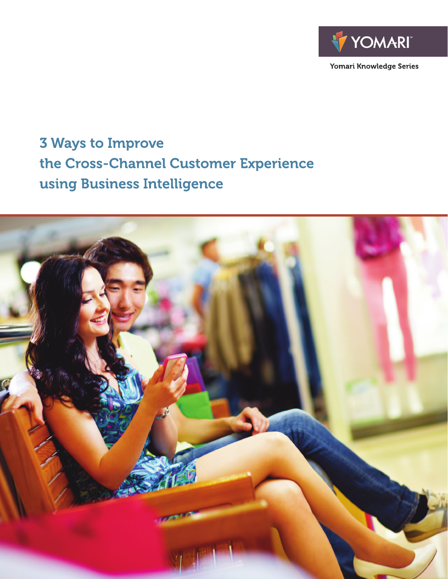

Yomari Knowledge Series

# **3 Ways to Improve** the Cross-Channel Customer Experience using Business Intelligence

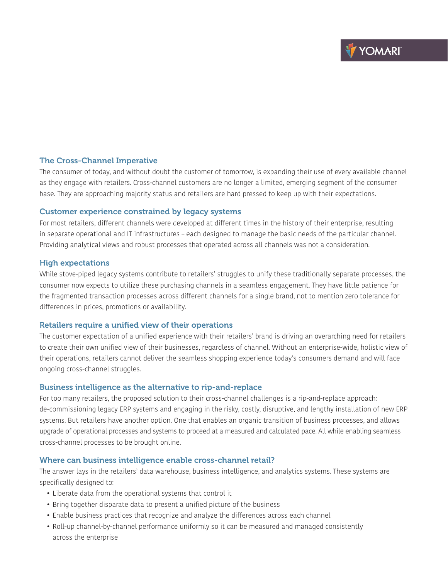## The Cross-Channel Imperative

The consumer of today, and without doubt the customer of tomorrow, is expanding their use of every available channel as they engage with retailers. Cross-channel customers are no longer a limited, emerging segment of the consumer base. They are approaching majority status and retailers are hard pressed to keep up with their expectations.

#### Customer experience constrained by legacy systems

For most retailers, different channels were developed at different times in the history of their enterprise, resulting in separate operational and IT infrastructures – each designed to manage the basic needs of the particular channel. Providing analytical views and robust processes that operated across all channels was not a consideration.

#### High expectations

While stove-piped legacy systems contribute to retailers' struggles to unify these traditionally separate processes, the consumer now expects to utilize these purchasing channels in a seamless engagement. They have little patience for the fragmented transaction processes across different channels for a single brand, not to mention zero tolerance for differences in prices, promotions or availability.

## Retailers require a unified view of their operations

The customer expectation of a unified experience with their retailers' brand is driving an overarching need for retailers to create their own unified view of their businesses, regardless of channel. Without an enterprise-wide, holistic view of their operations, retailers cannot deliver the seamless shopping experience today's consumers demand and will face ongoing cross-channel struggles.

## Business intelligence as the alternative to rip-and-replace

For too many retailers, the proposed solution to their cross-channel challenges is a rip-and-replace approach: de-commissioning legacy ERP systems and engaging in the risky, costly, disruptive, and lengthy installation of new ERP systems. But retailers have another option. One that enables an organic transition of business processes, and allows upgrade of operational processes and systems to proceed at a measured and calculated pace. All while enabling seamless cross-channel processes to be brought online.

## Where can business intelligence enable cross-channel retail?

The answer lays in the retailers' data warehouse, business intelligence, and analytics systems. These systems are specifically designed to:

- Liberate data from the operational systems that control it
- Bring together disparate data to present a unified picture of the business
- Enable business practices that recognize and analyze the differences across each channel
- Roll-up channel-by-channel performance uniformly so it can be measured and managed consistently across the enterprise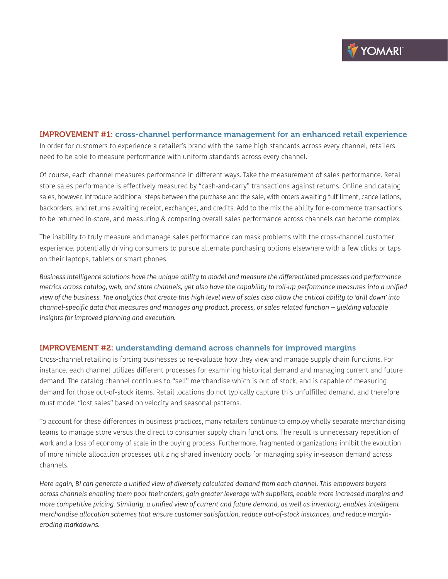# IMPROVEMENT #1: cross-channel performance management for an enhanced retail experience In order for customers to experience a retailer's brand with the same high standards across every channel, retailers need to be able to measure performance with uniform standards across every channel.

Of course, each channel measures performance in different ways. Take the measurement of sales performance. Retail store sales performance is effectively measured by "cash-and-carry" transactions against returns. Online and catalog sales, however, introduce additional steps between the purchase and the sale, with orders awaiting fulfillment, cancellations, backorders, and returns awaiting receipt, exchanges, and credits. Add to the mix the ability for e-commerce transactions to be returned in-store, and measuring & comparing overall sales performance across channels can become complex.

The inability to truly measure and manage sales performance can mask problems with the cross-channel customer experience, potentially driving consumers to pursue alternate purchasing options elsewhere with a few clicks or taps on their laptops, tablets or smart phones.

*Business Intelligence solutions have the unique ability to model and measure the differentiated processes and performance metrics across catalog, web, and store channels, yet also have the capability to roll-up performance measures into a unified view of the business. The analytics that create this high level view of sales also allow the critical ability to 'drill down' into channel-specific data that measures and manages any product, process, or sales related function -- yielding valuable insights for improved planning and execution.*

## IMPROVEMENT #2: understanding demand across channels for improved margins

Cross-channel retailing is forcing businesses to re-evaluate how they view and manage supply chain functions. For instance, each channel utilizes different processes for examining historical demand and managing current and future demand. The catalog channel continues to "sell" merchandise which is out of stock, and is capable of measuring demand for those out-of-stock items. Retail locations do not typically capture this unfulfilled demand, and therefore must model "lost sales" based on velocity and seasonal patterns.

To account for these differences in business practices, many retailers continue to employ wholly separate merchandising teams to manage store versus the direct to consumer supply chain functions. The result is unnecessary repetition of work and a loss of economy of scale in the buying process. Furthermore, fragmented organizations inhibit the evolution of more nimble allocation processes utilizing shared inventory pools for managing spiky in-season demand across channels.

*Here again, BI can generate a unified view of diversely calculated demand from each channel. This empowers buyers across channels enabling them pool their orders, gain greater leverage with suppliers, enable more increased margins and more competitive pricing. Similarly, a unified view of current and future demand, as well as inventory, enables intelligent merchandise allocation schemes that ensure customer satisfaction, reduce out-of-stock instances, and reduce margineroding markdowns.*